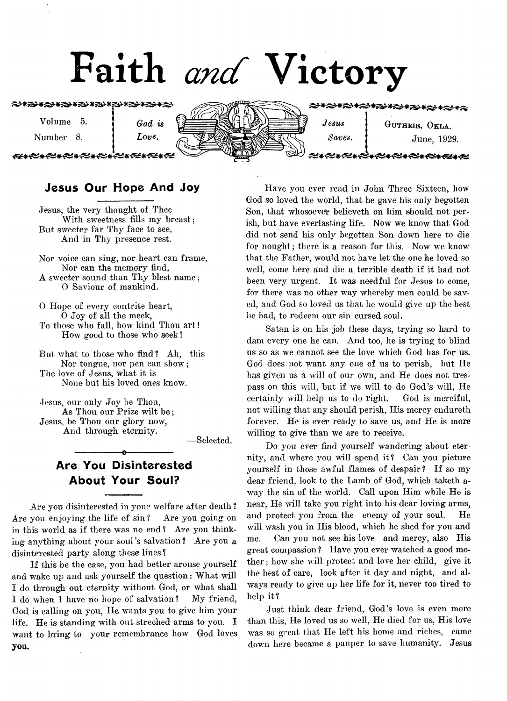# Faith *and* Victory

**۞₩۞₩۞₩۞₩۞₩۞₩۞₩۞₩۞₩** 

Volume 5. **j** God is

Number<sub>8</sub>. *Love*.

≈≈≈≈≈≈≠≈≈≠≈≈≠≈≥



€\*\*€€\*☆€\*\*€€\*\*€€\*\*€€\* *Jesus* **1 GUTHRIE, OKLA.** *Saves,* **j** June, 1929.

**\*{⊄\*{⊄\*{⊄\*{⊄\*{⊈\*{€** 

# Jesus Our Hope And Joy

Jesus, the very thought of Thee With sweetness fills my breast; But sweeter far Thy face to see, And in Thy presence rest.

Nor voice can sing, nor heart can frame, Nor can the memory find, A sweeter sound than Thy blest name*;* 0 Saviour of mankind.

0 Hope of every contrite heart, 0 Joy of all the meek, To those who fall, how kind Thou art! How good to those who seek!

But what to those who find ? Ah, this Nor tongue, nor pen can show; The love of Jesus, what it is None but his loved ones know.

Jesus, our only Joy be Thou, As Thou our Prize wilt be; Jesus, be Thou our glory now, And through eternity.

— Selected.

# Are You Disinterested About Your Soul?

-----------------o-----------------

Are you disinterested in your welfare after death ? Are you enjoying the life of sin ? Are you going on in this world as if there was no end ? Are you thinking anything about your soul's salvation? Are you a disinterested party along these lines?

If this be the case, you had better arouse yourself and wake up and ask yourself the question: What will I do through out eternity without God, or what shall I do when I have no hope of salvation? My friend, God is calling on you, He wants you to give him your life. He is standing with out streched arms to you. I want to bring to your remembrance how God loves you.

Have you ever read in John Three Sixteen, how God so loved the world, that he gave his only begotten Son, that whosoever believeth on him should not perish, but have everlasting life. Now we know that God did not send his only begotten Son down here to die for nought; there is a reason for this. Now we know that the Father, would not have let the one he loved so well, come here and die a terrible death if it had not been very urgent. It was needful for Jesus to come, for there was no other way whereby men could be saved, and God so loved us that he would give up the best he had, to redeem our sin cursed soul.

Satan is on his job these days, trying so hard to dam every one he can. And too, he is trying to blind us so as we cannot see the love which God has for us. God does not want any one of us to perish, but He has given us a will of our own, and He does not trespass on this will, but if we will to do God's will, He certainly will help us to do right. God is merciful, not willing that any should perish, His mercy endureth forever. He is ever ready to save us, and He is more willing to give than we are to receive.

Do you ever find yourself wandering about eternity, and where you will spend it? Can you picture yourself in those awful flames of despair? If so my dear friend, look to the Lamb of God, which taketh away the sin of the world. Call upon Him while He is near, He will take you right into his dear loving arms, and protect you from the enemy of your soul. He will wash you in His blood, which he shed for you and me. Can you not see his love and mercy, also His great compassion ? Have you ever watched a good mother ; how she will protect and love her child, give it the best of care, look after it day and night, and always ready to give up her life for it, never too tired to help it?

Just think dear friend, God's love is even more than this, He loved us so well, He died for us, His love was so great that He left his home and riches, came down here became a pauper to save humanity. Jesus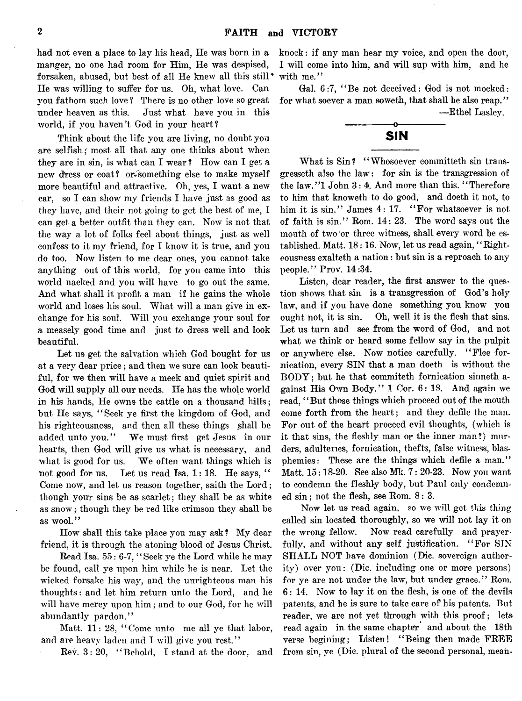had not even a place to lay his head, He was born in a manger, no one had room for Him, He was despised, forsaken, abused, but best of all He knew all this still \* He was willing to suffer for us. Oh, what love. Can you fathom such love ? There is no other love so great under heaven as this. Just what have you in this world, if you haven't God in your heart?

Think about the life you are living, no doubt you are selfish; most all that any one thinks about when they are in sin, is what can I wear ? How can I get a new dress or coat? or\* something else to make myself more beautiful and attractive. Oh, yes, I want a new car, so I can show my friends I have just as good as they have, and their not going to get the best of me, I can get a better outfit than they can. Now is not that the way a lot of folks feel about things, just as well confess to it my friend, for I know it is true, and you do too. Now listen to me dear ones, you cannot take anything out of this world, for you came into this world nacked and you will have to go out the same. And what shall it profit a man if he gains the whole world and loses his soul. What will a man give in exchange for his soul. Will you exchange your soul for a measely good time and just to dress well and look beautiful.

Let us get the salvation which God bought for us at a very dear price; and then we sure can look beautiful, for we then will have a meek and quiet spirit and God will supply all our needs. He has the whole world in his hands, He owns the cattle on a thousand hills; but He says, " Seek ye first the kingdom of God, and his righteousness, and then all these things shall be added unto you." We must first get Jesus in our hearts, then God will give us what is necessary, and what is good for us. We often want things which is not good for us. Let us read Isa. 1: 18. He says, " Come now, and let us reason together, saith the Lord; though your sins be as scarlet; they shall be as white as snow*;* though they be red like crimson they shall be as wool."

How shall this take place you may ask ? My dear friend, it is through the atoning blood of Jesus Christ.

Read Isa. 55: 6-7, "Seek ye the Lord while he may be found, call ye upon him while he is near. Let the wicked forsake his way, and the unrighteous man his thoughts: and let him return unto the Lord, and he will have mercy upon him ; and to our God, for he will abundantly pardon."

Matt. 11: 28, "Come unto me all ye that labor, and are heavy laden and I will give you rest."

Rev. 8: 20, " Behold, I stand at the door, and

knock: if any man hear my voice, and open the door, I will come into him, and will sup with him, and he with me."

Gal. 6:7, " Be not deceived: God is not mocked: for what soever a man soweth, that shall he also reap." —Ethel Lasley.

# **SIN**

What is Sin? "Whosoever committeth sin transgresseth also the law: for sin is the transgression of the law."1 John 3: 4. And more than this. "Therefore to him that knoweth to do good, and doeth it not, to him it is sin." James 4: 17. "For whatsoever is not of faith is sin." Rom. 14: 23. The word says out the mouth of two or three witness, shall every word be established. Matt. 18:16. Now, let us read again, "Righteousness exalteth a nation: but sin is a reproach to any people." Prov. 14:34.

Listen, dear reader, the first answer to the question shows that sin is a transgression of God's holy law, and if you have done something you know you ought not, it is sin. Oh, well it is the flesh that sins. Let us turn and see from the word of God, and not what we think or heard some fellow say in the pulpit or anywhere else. Now notice carefully. " Flee fornication, every SIN that a man doeth is without the  $BODY$ ; but he that commiteth fornication sinneth against His Own Body." 1 Cor. 6: 18. And again we read, " But those things which proceed out of the mouth come forth from the heart; and they defile the man. For out of the heart proceed evil thoughts, (which is it that sins, the fleshly man or the inner man?) murders, adulteries, fornication, thefts, false witness, blasphemies: These are the things which defile a man." Matt. 15:18-20. See also Mk. 7: 20-23. Now you want to condemn the fleshly body, but Paul only condemned sin; not the flesh, see Rom. 8: 3.

Now let us read again, so we will get this thing called sin located thoroughly, so we will not lay it on the wrong fellow. Now read carefully and prayerfully, and without any self justification. "For SIN SHALL NOT have dominion (Die. sovereign authority) over you: (Die. including one or more persons) for ye are not under the law, but under grace." Rom. 6: 14. Now to lay it on the flesh, is one of the devils patents, and he is sure to take care of his patents. But reader, we are not yet through with this proof; lets read again in the same chapter and about the 18th verse begining; Listen! "Being then made FREE from sin, ye (Die. plural of the second personal, mean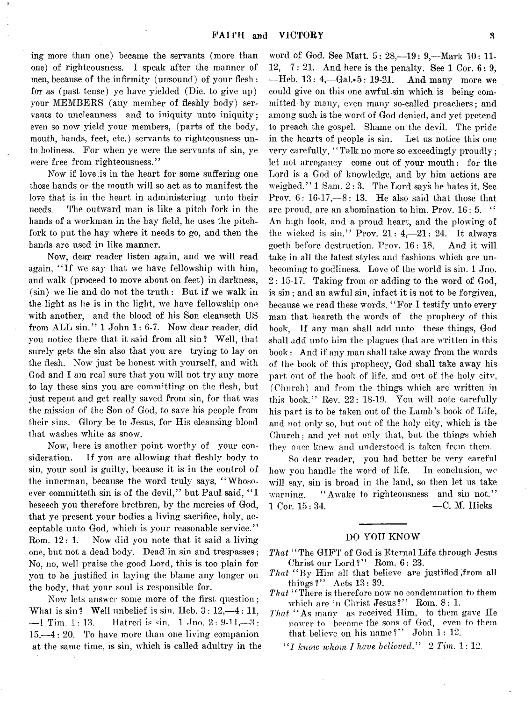ing more than one) became the servants (more than one) of righteousness. I speak after the manner of men, because of the infirmity (unsound) of your flesh: fot as (past tense) ye have yielded (Die. to give up) your MEMBERS (any member of fleshly body) servants to uncleanness and to iniquity unto iniquity; even so now yield your members, (parts of the body, mouth, hands, feet, etc.) servants to righteousness unto holiness. For when ye were the servants of sin, ye were free from righteousness."

Now if love is in the heart for some suffering one those hands or the mouth will so act as to manifest the love that is in the heart in administering unto their needs. The outward man is like a pitch fork in the hands of a workman in the hay field, he uses the pitchfork to put the hay where it needs to go, and then the hands are used in like manner.

Now, dear reader listen again, and we will read again, "If we say that we have fellowship with him, and walk (proceed to move about on feet) in darkness,  $(\sin)$  we lie and do not the truth: But if we walk in the light as he is in the light, we have fellowship one with another, and the blood of his Son cleanseth US from ALL sin." 1 John 1: 6-7. Now dear reader, did you notice there that it said from all sin ? Well, that surely gets the sin also that you are trying to lay on the flesh. Now just be honest with yourself, and with God and I am real sure that you will not try any more to lay these sins you are committing on the flesh, but just repent and get really saved from sin, for that was the mission of the Son of God, to save his people from their sins. Glory be to Jesus, for His cleansing blood that washes white as snow.

Now, here is another point worthy of your consideration. If you are allowing that fleshly body to sin, your soul is guilty, because it is in the control of the innerman, because the word truly says, " Whosoever committeth sin is of the devil," but Paul said, "I beseech you therefore brethren, by the mercies of God, that ye present your bodies a living sacrifice, holy, acceptable unto God, which is your reasonable service." Rom. 12: 1. Now did you note that it said a living one, but not a dead body. Dead in sin and trespasses; No, no, well praise the good Lord, this is too plain for you to be justified in laying the blame any longer on the body, that your soul is responsible for.

Now lets answer some more of the first question; What is  $\sin$ ? Well unbelief is  $\sin$ . Heb.  $3: 12, -4: 11$ ,  $-1$  Tim, 1: 13. Hatred is sin. 1 Jno. 2: 9-11,  $-3$ : 15,— 4: 20. To have more than one living companion at the same time, is sin, which is called adultry in the word of God. See Matt. 5: 28,--19: 9,--Mark 10: 11- $12, -7: 21.$  And here is the penalty. See 1 Cor.  $6: 9$ ,  $-$ Heb. 13: 4,  $-$ Gal. $\cdot$ 5: 19-21. And many more we could give on this one awful-sin which is being committed-by many, even many so-called preachers; and among such-is the word of God denied, and yet pretend to preach the gospel. Shame on the devil. The pride in the hearts of people is sin. Let us notice this one very carefully, "Talk no more so exceedingly proudly; let not arroganey come out of your mouth: for the Lord is a God of knowledge, and by him actions are weighed. " 1 Sam. 2 : 3. The Lord says he hates it. See Prov.  $6: 16-17, -8: 13$ . He also said that those that are proud, are an abomination to him. Prov. 16: 5. " An high look, and a proud heart, and the plowing of the wicked is sin." Prov.  $21: 4, -21: 24$ . It always goeth before destruction. Prov. 16: 18. And it will take in all the latest styles and fashions which are unbecoming to godliness. Love of the world is sin. 1 Jno. 2: 15-17. Taking from or adding to the word of God, is sin; and an awful sin, infact it is not to be forgiven, because we read these words, " For I testify unto every man that heareth the words of the prophecy of this book, If any man shall add unto these things, God shall add unto him the plagues that are written in this book: And if any man shall take away from the words of the book of this prophecy, God shall take away his part out of the book of life, and out of the holy citv, (Church) and from the things which are written in this book." Rev. 22: 18-19. You will note carefully his part is to be taken out of the Lamb's book of Life, and not only so, but out of the holy city, which is the Church ; and yet not only that, but the things which they once knew and understood is taken from them.

So dear reader, you had better be very careful how you handle the word of life. In conclusion, we will say, sin is broad in the land, so then let us take warning. "Awake to righteousness and sin not." 1 Cor. 15: 34. — C. M. Hicks

#### DO YOU KNOW

- *That* " The GIFT of God is Eternal Life through Jesus Christ our Lord?" Rom. 6: 23.
- That "By Him all that believe are justified from all things?" Acts 13: 39.
- *That* "There is therefore now no condemnation to them which are in Christ Jesus?" Rom. 8: 1.
- *That* " As many as received Him, to them gave He power to become the sons of God, even to them that believe on his name?" John 1: 12.
	- " / *know whom I have believed*." 2 *Tim.* 1: 12.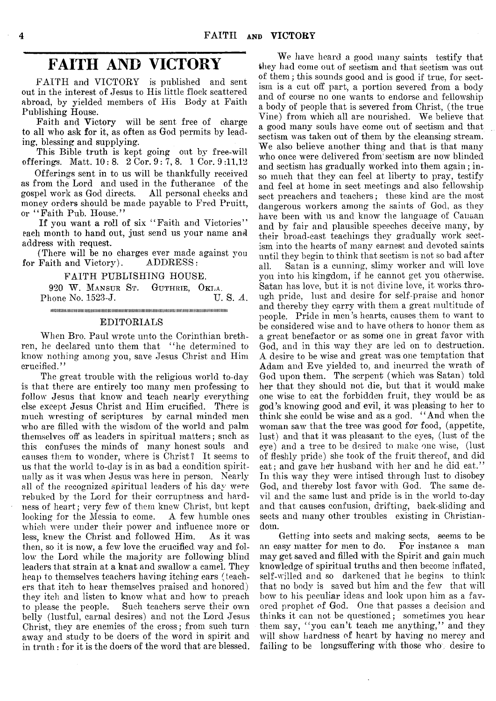# **FAITH AND VICTORY**

FAITH and VICTORY is published and sent out in the interest of Jesus to His little flock scattered abroad, by yielded members of His Body at Faith Publishing House.

Faith and Victory will be sent free of charge to all who ask for it, as often as God permits by leading, blessing and supplying.

This Bible truth is kept going out by free-will offerings. Matt. 10: 8. 2 Cor. 9 : 7, 8. 1 Cor. 9 :11,12

Offerings sent in to us will be thankfully received as from the Lord and used in the futherance of the gospel work as God directs. All personal checks and gospel work as God directs. money orders should be made payable to Fred Pruitt, or "Faith Pub. House."

If you want a roll of six "Faith and Victories" each month to hand out, just send us your name and address with request.

(There will be no charges ever made against you<br>Faith and Victory). ADDRESS: for Faith and Victory).

FAITH PUBLISHING HOUSE,

920 W. MANSUR ST. GUTHRIE, OKLA.<br>hone No. 1523-J. U. S. A. Phone No. 1523-J.

iiiiiimiiiiiiiiiiiMmimimiiiiiiiiiiiiiiiiiiiiiiiiiiiimiiiiiiiiiiiiiiiiiimiiimiiiiiiiiiiiiimiiiiiiiiiiimtiii

#### EDITORIALS

When Bro. Paul wrote unto the Corinthian brethren, he declared unto them that " he determined to know nothing among you, save Jesus Christ and Him crucified."

The great trouble with the religious world to-day is that there are entirely too many men professing to follow Jesus that know and teach nearly everything else except Jesus Christ and Him crucified. There is much wresting of scriptures by carnal minded men who are filled with the wisdom of the world and palm themselves off as leaders in spiritual matters; such as this confuses the minds of many honest souls and causes them to wonder, where is Christ? It seems to us that the world to-day is in as bad a condition spiritually as it was when Jesus was here in person. Nearly all of the recognized spiritual leaders of his day were rebuked by the Lord for their corruptness and hardness of heart; very few of them knew Christ, but kept looking for the Messia to come. A few humble ones which were under their power and influence more or less, knew the Christ and followed Him. As it was then, so it is now, a few love the crucified way and follow the Lord while the majority are following blind leaders that strain at a knat and swallow a camel. They heap to themselves teachers having itching ears ( teachers that itch to hear themselves praised and honored) they itch and listen to know what and how to preach to please the people. Such teachers serve their own belly (lustful, carnal desires) and not the Lord Jesus Christ, they are enemies of the cross; from such turn away and study to be doers of the word in spirit and in truth: for it is the doers of the word that are blessed.

We have heard a good many saints testify that they had come out of sectism and that sectism was out of them; this sounds good and is good if true, for sectism is a cut off part, a portion severed from a body and of course no one wants to endorse and fellowship a body of people that is severed from Christ, (the true Vine) from which all are nourished. We believe that a good many souls have come out of sectism and that sectism was taken out of them by the cleansing stream. We also believe another thing and that is that many who once were delivered from sectism are now blinded and sectism has gradually worked into them again; inso much that they can feel at liberty to pray, testify and feel at home in sect meetings and also fellowship sect preachers and teachers; these kind are the most dangerous workers among the saints of God, as they have been with us and know the language of Canaan and by fair and plausible speeches deceive many, by their broad-cast teachings they gradually work sectism into the hearts of many earnest and devoted saints until they begin to think that sectism is not so bad after all. Satan is a cunning, slimy worker and will love you into his kingdom, if he cannot get you otherwise. Satan has love, but it is not divine love, it works through pride, lust and desire for self-praise and honor and thereby they carry with them a great multitude of people. Pride in men's hearts, causes them to want to be considered wise and to have others to honor them as a great benefactor or as some one in great favor with God, and in this way they are led on to destruction. A desire to be wise and great was one temptation that Adam and Eve yielded to, and incurred the wrath of God upon them. The serpent (which was Satan) told her that they should not die, but that it would make one wise to eat the forbidden fruit, they would be as god's knowing good and evil, it was pleasing to her to think she could be wise and as a god. " And when the woman saw that the tree was good for food, (appetite, lust) and that it was pleasant to the eyes, (lust of the eye) and a tree to be desired to make one wise, (lust of fleshly pride) she took of the fruit thereof, and did eat; and gave her husband with her and he did eat." In this way they were intised through lust to disobey God, and thereby lost favor with God. The same devil and the same lust and pride is in the world to-day and that causes confusion, drifting, back-sliding and sects and many other troubles existing in Christiandom.

Getting into sects and making sects, seems to be an easy matter for men to do. For instance a man may get saved and filled with the Spirit and gain much knowledge of spiritual truths and then become inflated, self-willed and so darkened that he begins to think that no body is saved but him and the few that will bow to his peculiar ideas and look upon him as a favored prophet of God. One that passes a decision and thinks it can not be questioned; sometimes you hear them say, "you can't teach me anything," and they will show hardness of heart by having no mercy and failing to be longsuffering with those who desire to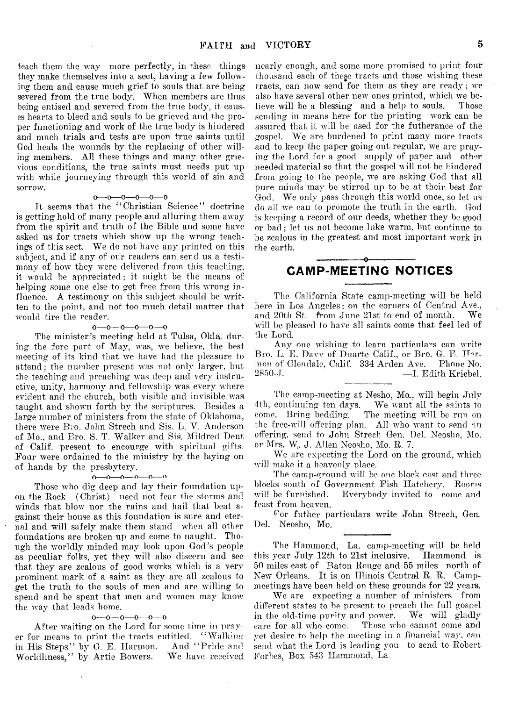teach them the way more perfectly, in these things they make themselves into a sect, having a few following them and cause much grief to souls that are being severed from the true body. When members are thus being entised and severed from the true body, it causes hearts to bleed and souls to be grieved and the proper functioning and work of the true body is hindered and much trials and tests are upon true saints until God heals the wounds by the replacing of other willing members. All these things and many other grievious conditions, the true saints must needs put up with while journeying through this world of sin and sorrow.

#### $0 - 0 - 0 - 0 - 0 - 0$

It seems that the " Christian Science" doctrine is getting hold of many people and alluring them away from the spirit and truth of the Bible and some have asked us for tracts which show up the wrong teachings of this sect. We do not have any printed on this subject, and if any of our readers can send us a testimony of how they were delivered from this teaching, it would be appreciated; it might be the means of helping some one else to get free from this wrong influence. A testimony on this subject should be written to the point, and not too much detail matter that would tire the reader.

#### $0 - 0 - 0 - 0 - 0$

The minister's meeting held at Tulsa, Okla, during the fore part of May, was, we believe, the best meeting of its kind that we have had the pleasure to attend; the number present was not only larger, but the teaching and preaching was deep and very instructive, unity, harmony and fellowship was every where evident and the church, both visible and invisible was taught and shown forth by the scriptures. Besides a large number of ministers from the state of Oklahoma, there were B'ro. John Strech and Sis. L. V. Anderson of Mo., and Bro. S. T. Walker and Sis. Mildred Dent of Calif, present to encourge with spiritual gifts. Four were ordained to the ministry by the laying on of hands by the presbytery.

#### $0 \rightarrow 0 \rightarrow 0 \rightarrow 0 \rightarrow 0$

Those who dig deep and lay their foundation upon the Rock (Christ) need not fear the storms and winds that blow nor the rains and hail that beat against their house as this foundation is sure and eternal and will safely make them stand when all other foundations are broken up and come to naught. Though the worldly minded may look upon God's people as peculiar folks, yet they will also discern and see that they are zealous of good works which is a very prominent mark of a saint as they are all zealous to get the truth to the souls of men and are willing to spend and be spent that men and women may know the way that leads home.

#### $0 - 0 - 0 - 0 - 0$

After waiting on the Lord for some time in prayer for means to print the tracts entitled. "Walking<br>in His Steps" by G. E. Harmon. And "Pride and in His Steps" by G. E. Harmon. And "Pride and Worldliness." by Artic Bowers. We have received Worldliness," by Artie Bowers.

nearly enough, and some more promised to print four thousand each of these tracts and those wishing these tracts, can now send for them as they are ready; we also have several other new ones printed, which we believe will be a blessing and a help to souls. Those sending in means here for the printing work can be assured that it will be used for the futherance of the gospel. We are burdened to print many more tracts and to keep the paper going out regular, we are praying the Lord for a good supply of paper and other needed material so that the gospel will not be hindered from going to the people, we are asking God that all pure minds may be stirred up to be at their best for God. We only pass through this world once, so let us do all we can to promote the truth in the earth. God is keeping a record of our deeds, whether they be good or bad; let us not become hike warm, but continue to be zealous in the greatest and most important work in the earth.

### ---------------- o---------------- CAMP-MEETING NOTICES

The California State camp-meeting will be held here in Los Angeles: on the corners of Central Ave., and 20th St. from June 21st to end of month. We will be pleased to have all saints come that feel led of the Lord.

Any one wishing to learn particulars can write Bro. L. E. Davy of Duarte Calif., or Bro. G. E. Hormon of Glendale, Calif. 334 Arden Ave. Phone No. -I. Edith Kriebel.

The camp-meeting at Nesho, Mo., will begin July 4th, continuing ten days. We want all the saints to come. Bring bedding. The meeting will be run on The meeting will be run on the free-will offering plan. All who want to send an offering, send to John Strech Gen. Del. Neosho, Mo. or Mrs. Wj. J. Allen Neosho, Mo. R. 7.

We are expecting the Lord on the ground, which will make it a heavenly place.

The camp-ground will be one block east and three blocks south of Government Fish Hatchery. Rooms will be furnished. Everybody invited to come and feast from heaven.

For futher particulars write John Strech, Gen, Del. Neosho, Mo.

The Hammond, La. camp-meeting will be held this year July 12th to 21st inclusive. Hammond is 50 miles east of Baton Rouge and 55 miles north of New Orleans. It is on Illinois Central R. R. Campmeetings have been held on these grounds for 22 years.

We are expecting a number of ministers from different states to be present to preach the full gospel in the old-time purity and power. We will gladly care for all who come. Those who cannot come and yet desire to help the meeting in a financial way, can send what the Lord is leading you to send to Robert Forbes, Box 543 Hammond, La.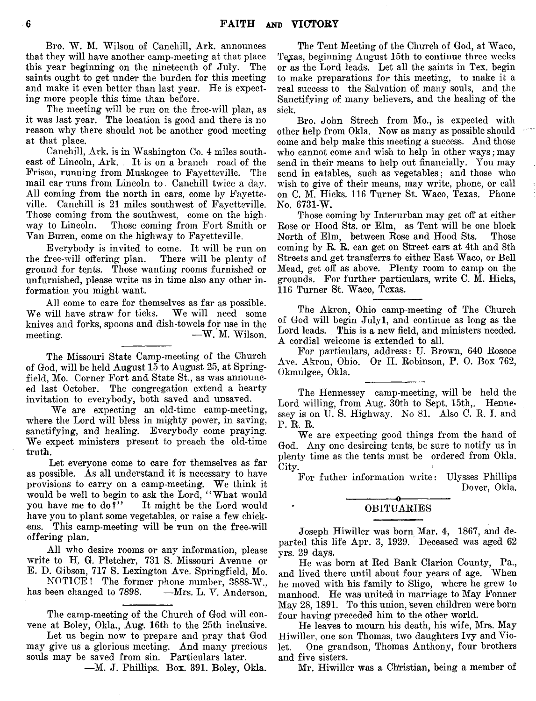Bro. W. M. Wilson of Canehill, Ark. announces that they will have another camp-meeting at that place<br>this year beginning on the nineteenth of July. The this year beginning on the nineteenth of July. saints ought to get under the burden for this meeting and make it even better than last year. He is expecting more people this time than before.

The meeting will be run on the free-will plan, as it was last year. The location is good and there is no reason why there should not be another good meeting at that place.

Canehill, Ark. is in Washington Co. 4 miles southeast of Lincoln, Ark. It is on a branch road of the Frisco, running from Muskogee to Fayetteville. The mail car runs from Lincoln to - Canehill twice a day. All coming from the north in cars, come by Fayetteville. Canehill is 21 miles southwest of Fayetteville. Those coming from the southwest, come on the highway to Lincoln. Those coming from Fort Smith or Van Buren, come on the highway to Fayetteville.

Everybody is invited to come. It will be run on the free-will offering plan. ground for tents. Those wanting rooms furnished or unfurnished, please write us in time also any other information you might want.

All come to care for themselves as far as possible.<br>will have straw for ticks. We will need some We will have straw for ticks. knives and forks, spoons and dish-towels for use in the meeting.  $-W$ . M. Wilson.

The Missouri State Camp-meeting of the Church of God, will be held August 15 to August 25, at Springfield, Mo. Corner Fort and State St., as was announced last October. The congregation extend a hearty invitation to everybody, both saved and unsaved.

We are expecting an old-time camp-meeting, where the Lord will bless in mighty power, in saving, sanctifying, and healing. Everybody come praying. We expect ministers present to preach the old-time truth.

Let everyone come to care for themselves as far as possible. As all understand it is necessary to have provisions to carry on a camp-meeting. We think it would be well to begin to ask the Lord, "What would<br>you have me to do?" It might be the Lord would It might be the Lord would have you to plant some vegetables, or raise a few chickens. This camp-meeting will be run on the free-will offering plan.

All who desire rooms or any information, please write to H. G. Pletcher, 731 S. Missouri Avenue or E. D. Gibson, 717 S. Lexington Ave. Springfield, Mo.

NOTICE! The former phone number, 3888-W.,<br>been changed to 7898. —Mrs. L. V. Anderson. has been changed to 7898.

The camp-meeting of the Church of God will convene at Boley, Okla,, Aug. 16th to the 25th inclusive.

Let us begin now to prepare and pray that God may give us a glorious meeting. And many precious souls may be saved from sin. Particulars later.

—M. J. Phillips. Box. 391. Boley, Okla.

The Tent Meeting of the Church of God, at Waco, Texas, beginning August 15th to continue three weeks or as the Lord leads. Let all the saints in Tex. begin to make preparations for this meeting, to make it a real success to the Salvation of many souls, and the Sanctifying of many believers, and the healing of the sick.

Bro. John Strech from Mo., is expected with other help from Okla. Now as many as possible should come and help make this meeting a success. And those who cannot come and wish to help in other ways; may send in their means to help out financially. You may send in eatables, such as vegetables; and those who wish to give of their means, may write, phone, or call on C. M. Hicks. 116 Turner St. Waco, Texas. Phone No. 6731-W.

Those coming by Interurban may get off at either Rose or Hood Sts. or Elm, as Tent will be one block North of Elm, between Rose and Hood Sts. Those coming by R. R. can get on Street cars at 4th and 8th Streets and get transferrs to either East Waco, or Bell Mead, get off as above. Plenty room to camp on the grounds. For further particulars, write C. M. Hicks, 116 Turner St. Waco, Texas.

The Akron, Ohio camp-meeting of The Church of God will begin Julyl, and continue as long as the Lord leads. This is a new field, and ministers needed. A cordial welcome is extended to all.

For particulars, address: U. Brown, 640 Roscoe Ave. Akron, Ohio. Or II. Robinson, P. 0. Box 762, Okmulgee, Okla.

The Hennessey camp-meeting, will be held the Lord willing, from Aug. 30th to Sept. 15th,. Hennessey is on U.S. Highway. No 81. Also C.R.I. and P. R. R.

We are expecting good things from the hand of God. Any one desireing tents, be sure to notify us in plenty time as the tents must be ordered from Okla. City.

For futher information write: Ulysses Phillips Dover, Okla. -----------------o----------------

#### OBITUARIES

Joseph Hiwiller was born Mar. 4, 1867, and departed this life Apr. 3, 1929. Deceased was aged 62 yrs. 29 days.

He was born at Red Bank Clarion County, Pa., and lived there until about four years of age. When he moved with his family to Sligo, where he grew to manhood. He was united in, marriage to May Fonner May 28, 1891. To this union, Seven children were born four having preceded him to the other world.

He leaves to mourn his death, his wife, Mrs. May Hi wilier, one son Thomas, two daughters Ivy and Violet. One grandson, Thomas Anthony, four brothers and five sisters.

Mr. Hiwiller was a Christian, being a member of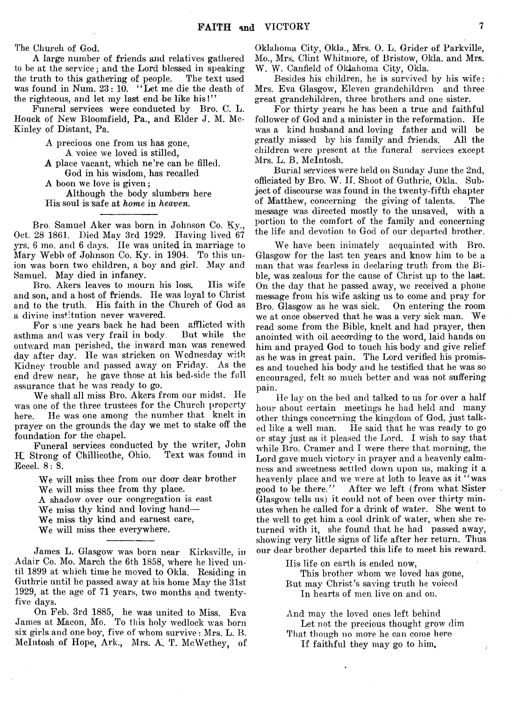The Church of God.

A large number of friends and relatives gathered to be at the service; and the Lord blessed in speaking the truth to this gathering of people. was found in Num. 23: 10. "Let me die the death of the righteous, and let my last end be like his!"

Funeral services were conducted by Bro. C. L. Houck of New Bloomfield, Pa., and Elder J. M. Mc-Kinley of Distant, Pa,

A precious one from us has gone,

A voice we loved is stilled,

A place vacant, which ne're can be filled. God in his wisdom, has recalled

A boon we love is given;

Although the body slumbers here His soul is Safe at *home* in *heaven.*

Bro, Samuel Aker was born in Johnson Co. Ky., Oct. 28 1861. Died May 3rd 1929. Having lived 67 yrs. 6 mo. and 6 days. lie was united in marriage to Mary Webb of Johnson Co. Ky. in 1904. To this union was born two children, a boy and girl. May and Samuel. May died in infancy.

Bro. Akers leaves to mourn his loss. His wife and son, and a host of friends. He was loyal to Christ and to the truth. His faith in the Church of God as a divine institution never wavered.

For spine years back he had been afflicted with<br>ma and was very frail in body. But while the asthma and was very frail in body. outward man perished, the inward man was renewed day after day. He was stricken on Wednesday with Kidney trouble and passed away on Friday. As the end drew near, he gave those at his bed-side the full assurance that he was ready to go.

We shall all miss Bro. Akers from our midst. He was one of the three trustees for the Church property here. He was one among the number that knelt in prayer on the grounds the day we met to stake off the foundation for the chapel.

Funeral services conducted by the writer, John H. Strong of Chillicothe, Ohio. Eceel. 8: 8.

> We will miss thee from our door dear brother We will miss thee from thy place. A shadow over our congregation is cast We miss thy kind and loving hand— We miss thy kind and earnest care, We will miss thee everywhere.

James L. Glasgow was born near Kirksville, in Adair Co. Mo. March the 6th 1858, where he lived until 1899 at which time he moved to Okla. Residing in Guthrie until he passed away at his home May the 31st 1929, at the age of 71 years, two months and twentyfive days.

On Feb. 3rd 1885, he was united to Miss. Eva James at Macon, Mo. To this holy wedlock was born six girls and one boy; five of whom survive : Mrs. L. B. McIntosh of Hope, Ark., Mrs. A. T. McWethey, of

Oklahoma City, Okla., Mrs. 0. L. Grider of Parkville, Mo., Mrs. Clint Whitmore, of Bristow, Okla. and Mrs. W. W. Canfield of Oklahoma City, Okla.

Besides his children, he is survived by his wife: Mrs. Eva Glasgow, Eleven grandchildren and three great grandchildren, three brothers and one sister.

For thirty years he has been a true and faithful follower of God and a minister in the reformation. He was a kind husband and loving father and will be greatly missed by his family and friends. All the children were present at the funeral services except Mrs. L. B. McIntosh.

Burial services were held on Sunday June the 2nd, officiated by Bro. W. II. Shoot of Guthrie, Okla. Subject of discourse was found in the twenty-fifth chapter of Matthew, concerning the giving of talents. The message was directed mostly to the unsaved, with a portion to the comfort of the family and concerning the life and devotion to God of our departed brother.

We have been inimately acquainted with Bro. Glasgow for the last ten years and know him to be a man that was fearless in declaring truth from the Bible, was zealous for the cause of Christ up to the last. On the day that he passed away, *we* received a phone message from his wife asking us to come and pray for Bro. Glasgow as he was sick. On entering the room we at once observed that he was a very sick man. We read some from the Bible, knelt and had prayer, then anointed with oil according to the word, laid hands on him and prayed God to touch his body and give relief as he was in great pain. The Lord verified his promises and touched his body and he testified that he was so encouraged, felt so much better and was not suffering pain.

He lay on the bed and talked to us for over a half hour about certain meetings he had held and many other things concerning the kingdom of God, just talked like a well man. He said that he was ready to go or stay just as it pleased the Lord. I wish to say that while Bro. Cramer and I were there that morning, the Lord gave much victory in prayer and a heavenly calmness and sweetness settled down upon us, making it a heavenly place and we were at loth to leave as it "was good to be there." After we left (from what Sister Glasgow tells us) it could not of been over thirty minutes when he called for a drink of water. She went to the well to get him a cool drink of water, when she returned with it, she found that he had passed away, showing very little signs of life after her return. Thus our dear brother departed this life to meet his reward.

His life on earth is ended now,

This brother whom we loved has gone, But may Christ's saving truth he voiced In hearts of men live on and on.

And may the loved ones left behind

Let not the precious thought grow dim That though no more he can come here

ż

If faithful they may go to him.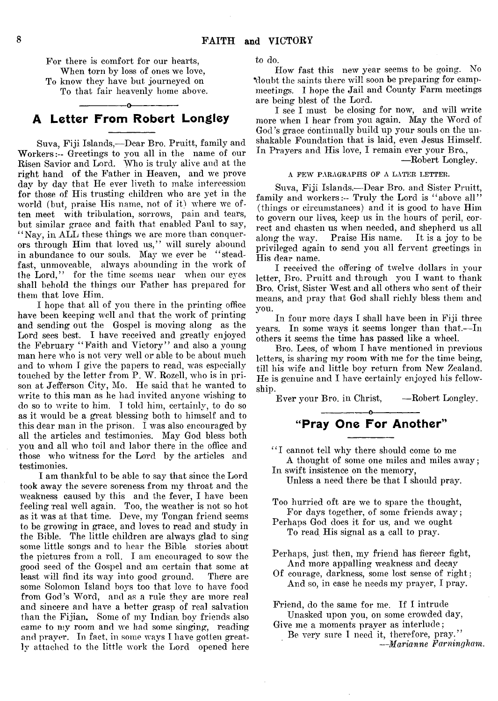For there is comfort for our hearts, When torn by loss of ones we love, To know they have but journeyed on To that fair heavenly home above.

# -----------------o---------------- A Letter From Robert Longley

Suva, Fiji Islands,— Dear Bro. Pruitt, family and W orkers:- Greetings to you all in the name of our Risen Savior and Lord. Who is truly alive and at the right hand of the Father in Heaven, and we prove day by day that He ever liveth to make intercession for those of His trusting children who are yet in the world (but, praise His name, not of it) where we often meet with tribulation, sorrows, pain and tears, but similar grace and faith that enabled Paul to say, "Nay, in ALL these things we are more than conquerors through Him that loved us," will surely abound in abundance to our souls. May we ever be "steadfast, unmoveable, always abounding in the work of the Lord," for the time seems near when our eyes shall behold the things our Father has prepared for them that love Him.

I hope that all of you there in the printing office have been keeping well and that the work of printing and sending out the Gospel is moving along as the Lord sees best. I have received and greatly enjoyed the February " Faith and Victory" and also a young man here who is not very well or able to be about much and to whom I give the papers to read, was especially touched by the letter from P. W. Rozell, who is in prison at Jefferson City, Mo. He said that he wanted to write to this man as he had invited anyone wishing to do so to write to him. I told him, certainly, to do so as it would be a great blessing both to himself and to this dear man in the prison.  $\tilde{I}$  was also encouraged by all the articles and testimonies. May God bless both you and all who toil and labor there in the office and those who witness for the Lord by the articles and testimonies.

I am thankful to be able to say that since the Lord took away the severe soreness from my throat and the weakness caused by this and the fever, I have been feeling real well again. Too, the weather is not so hot as it was at that time. Deve, my Tongan friend seems to be growing in grace, and loves to read and study in the Bible. The little children are always glad to sing some little songs and to hear the Bible stories about the pictures from a roll. I am encouraged to sow the good seed of the Gospel and am certain that some at least will find its way into good ground. There are some Solomon Island boys too that love to have food from God's Word, and as a rule they are more real and sincere and have a better grasp of real salvation than the Fijian, Some of my Indian, boy friends also came to my room and we had some singing, reading and prayer. In fact, in some ways I have gotten greatly attached to the little work the Lord opened here

to do.

How fast this new year seems to be going. No •doubt the saints there will soon be preparing for campmeetings. I hope the Jail and County Farm meetings are being blest of the Lord.

I see I must be closing for now, and will write more when I hear from you again. May the Word of God's grace continually build up your souls on the unshakable Foundation that is laid, even Jesus Himself. In Prayers and His love, I remain ever your Bro.,

—Robert Longley.

#### A PEW PARAGRAPHS OP A LATER LETTER.

Suva, Fiji Islands.— Dear Bro. and Sister Pruitt, family and workers:-- Truly the Lord is "above all" (things or circumstances) and it is good to have Him to govern our lives, keep us in the hours of peril, correct and chasten us when needed, and shepherd us all along the way. Praise His name. It is a joy to be privileged again to send you all fervent greetings in His dear name.

I received the offering of twelve dollars in your letter, Bro. Pruitt and through you I want to thank Bro. Crist, Sister West and all others who sent of their means, and pray that God shall richly bless them and you.

In four more days I shall have been in Fiji three years. In some wavs it seems longer than that.—In others it seems the time has passed like a wheel.

Bro. Lees, of whom I have mentioned in previous letters, is sharing my room with me for the time being, till his wife and little boy return from New Zealand. He is genuine and I have certainly enjoyed his fellowship.

Ever your Bro. in Christ, -- Robert Longley.

"Pray One For Another"

"I cannot tell why there should come to me

-----------------o----------------

A thought of some one miles and miles away; In swift insistence on the memory,

Unless a need there be that I should pray.

Too hurried oft are we to spare the thought, For days together, of some friends away;

Perhaps God does it for us, and we ought To read His signal as a call to pray.

Perhaps, just then, my friend has fiercer fight, And more appalling weakness and decay

Of courage, darkness, some lost sense of right; And so, in case he needs my prayer, I pray.

Friend, do the same for me. If I intrude Unasked upon you, on some crowded day,

Give me a moments prayer as interlude; Be very sure I need it, therefore, pray."

*—Marianne Farningham.*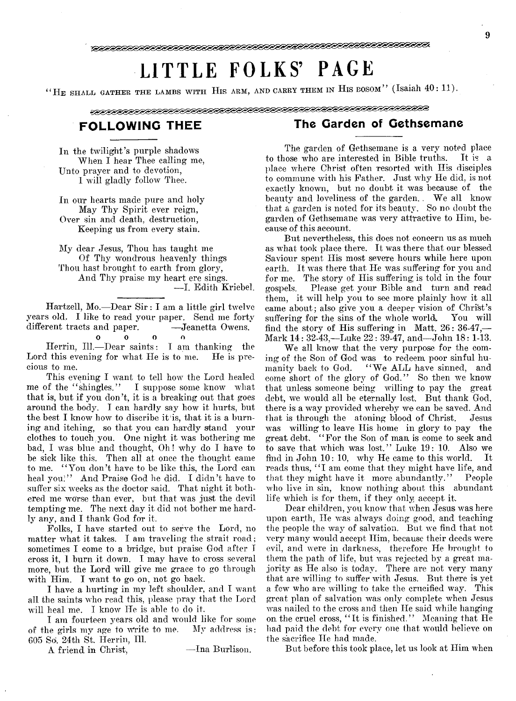# LITTLE FOLKS' PAGE

" HE SHALL GATHER THE LAMBS WITH HIS ARM, AND CARRY THEM IN HIS BOSOM" (Isaiah 40: 11).

<u>INNESSINESSES SES ESSES ESSES ESSES ESSES ESSES ESSES ESSES ESSES ESSES ESSES ESSES ESSES ESSES ESSES ESSES ES</u>

In the twilight's purple shadows When I hear Thee calling me, Unto prayer and to devotion, I will gladly follow Thee.

In our hearts made pure and holy May Thy Spirit ever reign, Over sin and death, destruction, Keeping us from every stain.

My dear Jesus, Thou has taught me Of Thy wondrous heavenly things Thou hast brought to earth from glory, And Thy praise my heart ere sings.

— I. Edith Kriebel.

Hartzell, Mo.-Dear Sir: I am a little girl twelve years old. I like to read your paper. Send me forty different tracts and paper. - Jeanetta Owens.

#### 0 0 o o

Herrin, 111.— Dear saints: I am thanking the Lord this evening for what He is to me. He is precious to me.

This evening I want to tell how the Lord healed me of the "shingles." I suppose some know what that is, but if you don't, it is a breaking out that goes around the body. I can hardly say how it hurts, but the best I know how to discribe it is, that it is a burning and itching, so that you can hardly stand your clothes to touch you. One night it was bothering me bad, I was blue and thought, Oh! why do I have to be sick like this. Then all at once the thought came to me. " You don't have to be like this, the Lord can heal you;" And Praise God he did. I didn't have to suffer six weeks as the doctor said. That night it bothered me worse than ever, but that was just the devil tempting me. The next day it did not bother me hardly any, and I thank God for it.

Folks, I have started out to serve the Lord, no matter what it takes. I am traveling the strait road; sometimes I come to a bridge, but praise God after I cross it, 1 burn it down. I may have to cross several more, but the Lord will give me grace to go through with Him. I want to go on, not go back.

I have a hurting in my left shoulder, and I want all the saints who read this, please pray that the Lord will heal me. I know He is able to do it.

I am fourteen years old and would like for some of the girls my age to write to me. My address is: 605 So. 24th St, Herrin, 111.

A friend in Christ, — Ina Burlison.

# FOLLOWING THEE The Garden of Gethsemane

The garden of Gethsemane is a very noted place to those who are interested in Bible truths. place where Christ often resorted with His disciples to commune with his Father. Just why He did, is not exactly known, but no doubt it was because of the beauty and loveliness of the garden. . We all know that a garden is noted for its beauty. So no doubt the garden of Gethsemane was very attractive to Him, because of this account.

But nevertheless, this does not concern us as much as what took place there. It was there that our blessed Saviour spent His most severe hours while here upon earth. It was there that He was suffering for you and for me. The story of His suffering is told in the four Please get your Bible and turn and read them, it will help you to see more plainly how it all came about; also give you a deeper vision of Christ's suffering for the sins of the whole world. You will find the story of His suffering in Matt. 26: 36-47,— Mark 14: 32-43,—Luke 22 : 39-47, and— John 18: 1-13.

We all know that the very purpose for the coming of the Son of God was to redeem poor sinful hu-"We ALL have sinned, and come short of the glory of God.' ' So then we know that unless someone being willing to pay the great debt, we would all be eternally lost. But thank God, there is a way provided whereby we can be saved. And that is through the atoning blood of Christ. Jesus was willing to leave His home in glory to pay the great debt, " For the Son of man, is come to seek and to save that which was lost." Luke 19: 10. Also we find in John 10: 10, why He came to this world. It reads thus, "I am come that they might have life, and that they might have it more abundantly.' ' People who live in sin, know nothing about this abundant life which is for them, if they only accept it.

Dear children, you know that when Jesus was here upon earth, He was always doing good, and teaching the people the way of salvation. But we find that not very many would accept Him, because their deeds were evil, and were in darkness, therefore He brought to them the path of life, but was rejected by a great majority as He also is today. There are not very many that are willing to suffer with Jesus. But there is yet a few who are willing to take the crucified way. This great plan of salvation was only complete when Jesus was nailed to the cross and then He said while hanging on the cruel cross, "It is finished." Meaning that He had paid the debt for every one that would believe on the sacrifice He had made.

But before this took place, let us look at Him when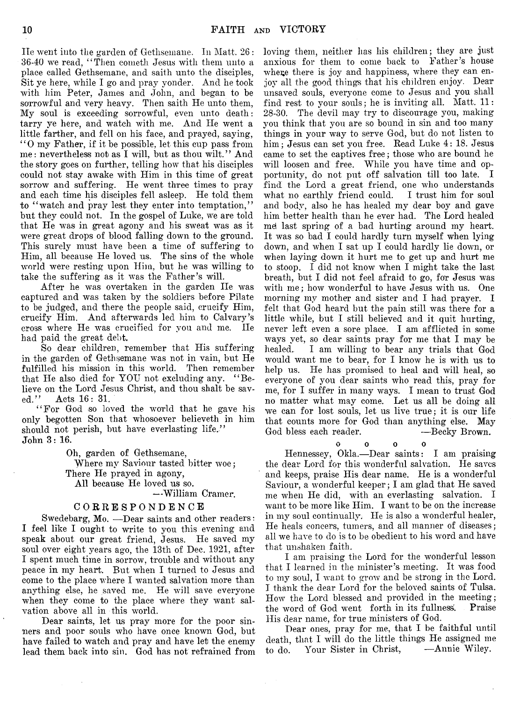He went into the garden of Gethsemane. In Matt. 26: 36-40 we read, " Then cometli Jesus with them unto a place called Gethsemane, and saith unto the disciples, Sit ye here, while I go and pray yonder. And he took with him Peter, James and John, and began to be sorrowful and very heavy. Then saith He unto them, My soul is exceeding sorrowful, even unto death: tarry ye here, and watch with me. And He went a little farther, and fell on his face, and prayed, saying, " 0 my Father, if it be possible, let this cup pass from me: nevertheless not as I will, but as thou wilt." And the story goes on further, telling how that his disciples could not stay awake with Him in this time of great sorrow and suffering. He went three times to pray and each time his disciples fell asleep. He told them to "watch and pray lest they enter into temptation," but they could not. In the gospel of Luke, we are told that He was in great agony and his sweat was as it were great drops of blood falling down to the ground. This surely must have been a time of suffering to Him, all because He loved us. The sins of the whole world were resting upon Him, but he was willing to take the suffering as it was the Father's will.

After he was overtaken in the garden IIe was captured and was taken by the soldiers before Pilate to be judged, and there the people said, crucify Him, crucify Him. And afterwards led him to Calvary's cross where He was crucified for you and me. He had paid the great debt.

So dear children, remember that His suffering in the garden of Gethsemane was not in vain, but He fulfilled his mission in this world. Then remember that He also died for YOU not excluding any. " Believe on the Lord Jesus Christ, and thou shalt be sav-<br>ed.'' Acts 16: 31. Acts 16: 31.

" For God so loved the world that he gave his only begotten Son that whosoever believeth in him should not perish, but have everlasting life." John 3: 16.

Oh, garden of Gethsemane,

Where my Saviour tasted bitter woe; There He prayed in agony, All because He loved us so.

—William Cramer.

#### CORRESPONDENCE

Swedebarg, Mo. — Dear saints and other readers: I feel like I ought to write to you this evening and speak about our great friend, Jesus. He saved my soul over eight years ago, the 13th of Dec. 1921, after I spent much time in sorrow, trouble and without any peace in my heart. But when I turned to Jesus and come to the place where I wanted salvation more than anything else, he saved me. He will save everyone when they come to the place where they want salvation above all in this world.

Dear saints, let us pray more for the poor sinners and poor souls who have once known God, but have failed to watch and pray and have let the enemy lead them back into sin. God has not refrained from

loving them, neither has his children; they are just anxious for them to come back to Father's house where there is joy and happiness, where they can enjoy all the good things that his children enjoy. Dear unsaved souls, everyone come to Jesus and you shall find rest to your souls; he is inviting all. Matt. 11: 28-30. The devil may try to discourage you, making you think that you are so bound in sin and too many things in your way to serve God, but do not listen to him; Jesus can set you free. Read Luke 4: 18. Jesus came to set the captives free; those who are bound he will loosen and free. While you have time and opportunity, do not put off salvation till too late. I find the Lord a great friend, one who understands what no earthly friend could. I trust him for soul and body, also he has healed my dear boy and gave him better health than he ever had. The Lord healed md last spring of a bad hurting around my heart. It was so bad I could hardly turn myself when lying down, and when I sat up I could hardly lie down, or when laying down it hurt me to get up and hurt me to stoop. I did not know when I might take the last breath, but I did not feel afraid to go, for Jesus was with me; how wonderful to have Jesus with us. One morning my mother and sister and I had prayer. I felt that God heard but the pain still was there for a little while, but I still believed and it quit hurting, never left even a sore place. I am afflicted in some ways yet, so dear saints pray for me that I may be healed. I am willing to bear any trials that God would want me to bear, for I know he is with us to help us. He has promised to heal and will heal, so everyone of you dear saints who read this, pray for me, for I suffer in many ways. I mean to trust God no matter what may come. Let us all be doing all we can for lost souls, let us live true; it is our life that counts more for God than anything else. May God bless each reader. ——Becky Brown.

0 0 0 0

Hennessey, Okla.—Dear saints: I am praising the dear Lord for this wonderful salvation. He saves and keeps, praise His dear name. He is a wonderful Saviour, a wonderful keeper; I am glad that He saved me when He did, with an everlasting salvation. I want to be more like Him. I want to be on the increase in my soul continually, He is also a wonderful healer, He heals concers, tumers, and all manner of diseases; all we have to do is to be obedient to his word and have that unshaken faith.

I am praising the Lord for the wonderful lesson that I learned in the minister's meeting. It was food to my soul, I want to grow and be strong in the Lord. I thank the dear Lord for the beloved saints of Tulsa. How the Lord blessed and provided in the meeting; the word of God went forth in its fullness'. Praise His dear name, for true ministers of God.

Dear ones, pray for me, that I be faithful until death, that I will do the little things He assigned me<br>to do Your Sister in Christ. — Annie Wiley. to do. Your Sister in Christ,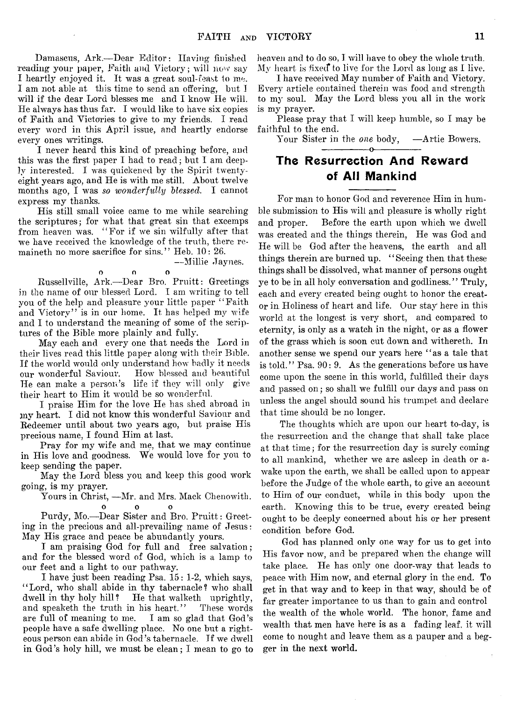Damascus, Ark.--Dear Editor: Having finished reading your paper, Faith and Victory; will now say I heartly enjoyed it. It was a great soul-feast to me. I am not able at this time to send an offering, but I will if the dear Lord blesses me and I know He will. He always has thus far. I would like to have six copies of Faith and Victories to give to my friends. I read every word in this April issue, and heartly endorse every ones writings.

I never heard this kind of preaching before, and this was the first paper I had to read; but I am deeply interested. I was quickened by the Spirit twentyeight years ago, and He is with me still. About twelve months ago, I was *so wonderfully blessed.* I cannot express my thanks.

His still small voice came to me while searching the scriptures; for what that great sin that excemps from heaven was. " For if we sin wilfully after that we have received the knowledge of the truth, there remaineth no more sacrifice for sins." Heb. 10: 26.

— Millie Jaynes.

o o o Russellville, Ark.— Dear Bro. Pruitt : Greetings in the name of our blessed Lord. I am writing to tell you of the help and pleasure your little paper "Faith and Victory" is in our home. It has helped my wife and I to understand the meaning of some of the scriptures of the Bible more plainly and fully.

May each and every one that needs the Lord in their lives read this little paper along with their Bible. If the world would only understand how badly it needs our wonderful Saviour. How blessed and beautiful He can make a person's life if they will only give their heart to Him it would be so wonderful.

I praise Him for the love He has shed abroad in jny heart. I did not know this wonderful Saviour and Redeemer until about two years ago, but praise His precious name, I found Him at last.

Pray for my wife and me, that we may continue in His love and goodness. We would love for you to keep sending the paper.

May the Lord bless you and keep this good work going, is my prayer.

Yours in Christ, —Mr. and Mrs. Mack Chenowith. 0 0 0

Purdy, Mo.— Dear Sister and Bro. Pruitt: Greeting in the precious and all-prevailing name of Jesus: May His grace and peace be abundantly yours.

I am praising God for full and free salvation; and for the blessed word of God, which is a lamp to our feet and a light to our pathway.

I have just been reading Psa. 15: 1-2, which says, "Lord, who shall abide in thy tabernacle? who shall dwell in thy holy hill? He that walketh uprightly, and speaketh the truth in his heart." These words are full of meaning to me. I am so glad that God's people have a safe dwelling place. No one but a righteous person can abide in God's tabernacle. If we dwell in God's holy hill, we must be clean; I mean to go to

heaven and to do so, I will have to obey the whole truth. My heart is fixed to live for the Lord as long as I live.

I have received May number of Faith and Victory. Every article contained therein was food and strength to my soul. May the Lord bless you all in the work is my prayer.

Please pray that I will keep humble, so I may be faithful to the end.

Your Sister in the *one* body, —Artie Bowers. ---------------- o-----------------

# The Resurrection And Reward of All Mankind

For man to honor God and reverence Him in humble submission to His wili and pleasure is wholly right and proper. Before the earth upon which we dwell was created and the things therein, He was God and He will be God after the heavens, the earth and all things therein are burned up. "Seeing then that these things shall be dissolved, what manner of persons ought ye to be in all holy conversation and godliness." Truly, each and every created being ought to honor the creator in Holiness of heart and life. Our stay here in this world at the longest is very short, and compared to eternity, is only as a watch in the night, or as a flower of the grass which is soon cut down and withereth. In another sense we spend our years here " as a tale that is told." Psa. 90: 9. As the generations before us have come upon the scene in this world, fulfilled their days and passed on ; so shall we fulfill our days and pass on unless the angel should sound his trumpet and declare that time should be no longer.

The thoughts which are upon our heart to-day, is the resurrection and the change that shall take place at that time; for the resurrection day is surely coming to all mankind, whether we are asleep in death or awake upon the earth, we shall be called upon to appear before the Judge of the whole earth, to give an account to Him of our conduct, while in this body upon the earth. Knowing this to be true, every created being ought to be deeply concerned about his or her present condition before God.

God has planned only one way for us to get into His favor now, and be prepared when the change will take place. He has only one door-way that leads to peace with Him now, and eternal glory in the end. To get in that way and to keep in that way, should be of far greater importance to us than to gain and control the wealth of the whole world. The honor, fame and wealth that men have here is as a fading leaf, it will come to nought and leave them as a pauper and a begger in the next world.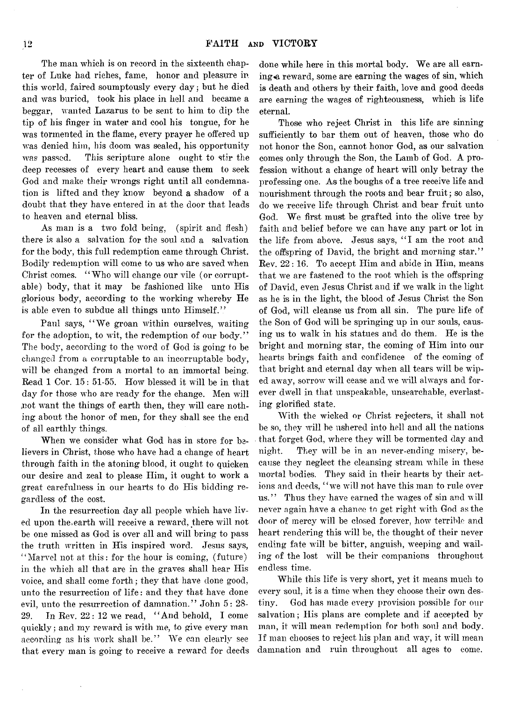The man which is on record in the sixteenth chapter of Lnke had riches, fame, honor and pleasure in this world, faired soumptously every day; but he died and was buried, took his place in hell and became a beggar, wanted Lazarus to be sent to him to dip the tip of his finger in water and cool his tongue, for he was tormented in the flame, every prayer he offered up was denied him, his doom was sealed, his opportunity was passed. This scripture alone ought to stir the deep recesses of every heart and cause them to seek God and make their wrongs right until all condemnation is lifted and they know beyond a shadow of a doubt that they have entered in at the door that leads to heaven and eternal bliss.

As man is a two fold being, (spirit and flesh) there is also a salvation for the soul and a salvation for the body, this full redemption came through Christ. Bodily redemption will come to us who are saved when Christ comes. " Who will change our vile (or corruptable) body, that it may be fashioned like unto His glorious body, according to the working whereby He is able even to subdue all things unto Himself."

Paul says, " We groan within ourselves, waiting for the adoption, to wit, the redemption of our body." The body, according to the word of God is going to be changed from a corruptable to an incorruptable body, will be changed from a mortal to an immortal being. Read 1 Cor. 15: 51-55. How blessed it will be in that day for those who are ready for the change. Men will ,not want the things of earth then, they will care nothing about the honor of men, for they shall see the end of all earthly things.

When we consider what God has in store for believers in Christ, those who have had a change of heart through faith in the atoning blood, it ought to quicken our desire and zeal to please Him, it ought to work a great carefulness in our hearts to do His bidding regardless of the cost.

In the resurrection day all people which have lived upon the.earth will receive a reward, there will not be one missed as God is over all and will bring to pass the truth written in His inspired word. Jesus says, " Marvel not at this: for the hour is coming, (future) in the which all that are in the graves shall hear His voice, and shall come forth; they that have done good, unto the resurrection of life : and they that have done evil, unto the resurrection of damnation." John 5: 28- 29. In Rev. 22: 12 we read, " And behold, I come quickly; and my reward is with me, to give every man according as his work shall be." We can clearly see that every man is going to receive a reward for deeds done while here in this mortal body. We are all earning a reward, some are earning the wages of sin, which is death and others by their faith, love and good deeds are earning the wages of righteousness, which is life eternal.

Those who reject Christ in this life are sinning sufficiently to bar them out of heaven, those who do not honor the Son, cannot honor God, as our salvation comes only through the Son, the Lamb of God. A profession without a change of heart will only betray the professing one. As the boughs of a tree receive life and nourishment through the roots and bear fruit; so also, do we receive life through Christ and bear fruit unto God. We first must be grafted into the olive tree by faith and belief before we can have any part or lot in the life from above. Jesus says, "I am the root and the offspring of David, the bright and morning star." Rev. 22: 16. To accept Him and abide in Him, means that we are fastened to the root which is the offspring of David, even Jesus Christ and if we walk in the light as he is in the light, the blood of Jesus Christ the Son of God, will cleanse us from all sin. The pure life of the Son of God will be springing up in our souls, causing us to walk in his statues and do them. He is the bright and morning star, the coming of Him into our hearts brings faith and confidence of the coming of that bright and eternal day when all tears will be wiped away, sorrow will cease and we will always and forever dwell in that unspeakable, unsearchable, everlasting glorified state.

With the wicked or Christ rejecters, it shall not be so, they will be ushered into hell and all the nations that forget God, where they will be tormented day and night. They will be in an never-ending misery, because they neglect the cleansing stream while in these mortal bodies. They said in their hearts by their actions and deeds, "we will not have this man to rule over us." Thus they have earned the wages of sin and will never again have a chance to get right with God as the door of mercy will be closed forever, how terrible and heart rendering this will be, the thought of their never ending fate will be bitter, anguish, weeping and wailing of the lost will be their companions throughout endless time.

While this life is very short, yet it means much to every soul, it is a time when they choose their own destiny. God has made every provision possible for our salvation; His plans are complete and if accepted by man, it will mean redemption for both soul and body. If man chooses to reject his plan and way, it will mean damnation and ruin throughout all ages to come.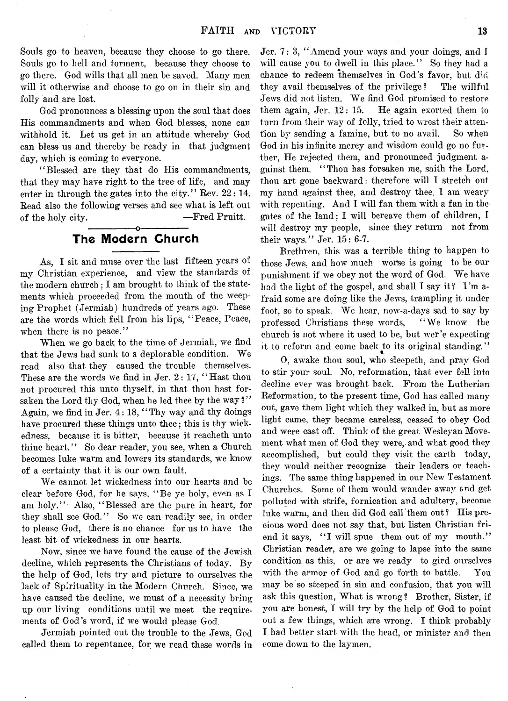Souls go to heaven, because they choose to go there. Souls go to hell and torment, because they choose to go there. God wills that all men be saved. Many men will it otherwise and choose to go on in their sin and folly and are lost.

God pronounces a blessing upon the soul that does His commandments and when God blesses, none can withhold it. Let us get in an attitude whereby God can bless us and thereby be ready in that judgment day, which is coming to everyone.

" Blessed are they that do His commandments, that they may have right to the tree of life, and may enter in through the gates into the city." Rev.  $22:14$ . Read also the following verses and see what is left out of the holy city. — Fred Pruitt. -----------------o-----------------

# The Modern Church

As, I sit and muse over the last fifteen years of my Christian experience, and view the standards of the modern church ; I am brought to think of the statements which proceeded from the mouth of the weeping Prophet (Jermiah) hundreds of years ago. These are the words which fell from his lips, " Peace, Peace, when there is no peace."

When we go back to the time of Jermiah, we find that the Jews had sunk to a deplorable condition. We read also that they caused the trouble themselves. These are the words we find in Jer. 2: 17, "Hast thou not procured this unto thyself, in that thou hast forsaken the Lord thy God, when he led thee by the way?'' Again, we find in Jer. 4: 18, "Thy way and thy doings have procured these things unto thee; this is thy wickedness, because it is bitter, because it reacheth unto thine heart." So dear reader, you see, when a Church becomes luke warm and lowers its standards, we know of a certainty that it is our own fault.

We cannot let wickedness into our hearts and be clear before God, for he says, " Be ye holy, even as I am holy." Also, " Blessed are the pure in heart, for they shall see God." So we can readily see, in order to please God, there is no chance for us to have the least bit of wickedness in our hearts.

Now, since we have found the cause of the Jewish decline, which represents the Christians of today. By the help of God, lets try and picture to ourselves the lack of Spirituality in the Modern Church. Since, we have caused the decline, we must of a necessity bring up our living conditions until we meet the requirements of God's word, if we would please God.

Jermiah pointed out the trouble to the Jews, God called them to repentance, for we read these words in

Jer. 7: 3, " Amend your ways and your doings, and I will cause you to dwell in this place." So they had a chance to redeem themselves in God's favor, but did they avail themselves of the privilege? The willful Jews did not listen. We find God promised to restore them again, Jer. 12: 15. He again exorted them to turn from their way of folly, tried to wrest their attention by sending a famine, but to no avail. So when God in his infinite mercy and wisdom could go no further, He rejected them, and pronounced judgment against them. " Thou has forsaken me, saith the Lord, thou art gone backward: therefore will I stretch out my hand against thee, and destroy thee, I am weary with repenting. And I will fan them with a fan in the gates of the land; I will bereave them of children, I will destroy my people, since they return not from their ways." Jer. 15: 6-7.

Brethren, this was a terrible thing to happen to those Jews, and how much worse is going to be our punishment if we obey not the word of God. We have had the light of the gospel, and shall I say it? I 'm afraid some are doing like the Jews, trampling it under foot, so to speak. We hear, now-a-days sad to say by professed Christians these words, " We know the church is not where it used to be, but wer'e expecting it to reform and come back to its original standing."

0, awake thou soul, who sleepeth, and pray God to stir your soul. No, reformation, that ever fell into decline ever was brought back. From the Lutherian Reformation, to the present time, God has called many out, gave them light which they walked in, but as more light came, they became careless, ceased to obey God and were cast off. Think of the great Wesleyan Movement what men of God they were, and what good they accomplished, but could they visit the earth today, they would neither recognize their leaders or teachings. The same thing happened in our New Testament Churches. Some of them would wander away and get polluted with strife, fornication and adultery, become luke warm, and then did God call'them out? His precious word does not say that, but listen Christian friend it says, "I will spue them out of my mouth." Christian reader, are we going to lapse into the same condition as this, or are we ready to gird ourselves with the armor of God and go forth to battle. You may be so steeped in sin and confusion, that you will ask this question, What is wrong? Brother, Sister, if you are honest, I will try by the help of God to point out a few things, which are wrong. I think probably I had better start with the head, or minister and then come down to the laymen.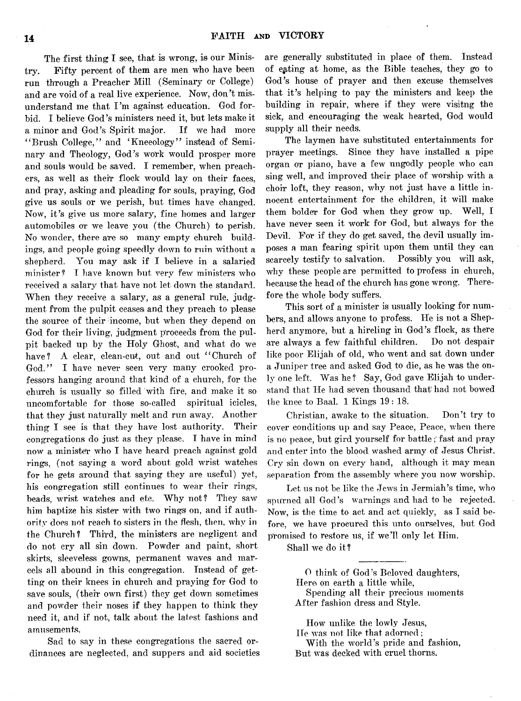The first thing I see, that is wrong, is our Ministry. Fifty percent of them, are men who have been run through a Preacher Mill (Seminary or College) and are void of a real live experience. Now, don't misunderstand me that I'm against education. God forbid. I believe God's ministers need it, but lets make it a minor and God's Spirit major. If we had more " Brush College," and ' Kneeology" instead of Seminary and Theology, God's work would prosper more and souls would be saved. I remember, when preachers, as well as their flock would lay on their faces. and pray, asking and pleading for souls, praying, God give us souls or we perish, but times have changed. Now, it's give us more salary, fine homes and larger automobiles or we leave you (the Church) to perish. No wonder, there are so many empty church buildings, and people going speedly down to ruin without a shepherd. You may ask if I believe in a salaried minister? I have known but very few ministers who received a salary that have not let down the standard. When they receive a salary, as a general rule, judgment from the pulpit ceases and they preach to please the source of their income, but when they depend on God for their living, judgment proceeds from the pulpit backed up by the Holy Ghost, and what do we have? A clear, clean-cut, out and out "Church of God." I have never seen very many crooked professors hanging around that kind of a church, for the church is usually so filled with fire, and make it so uncomfortable for those so-called spiritual icicles, that they just naturally melt and run away. Another thing I see is that they have lost authority. Their congregations do just as they please. I have in mind now a minister who I have heard preach against gold rings, (not saying a word about gold wrist watches for he gets around that saying they are useful) yet, his congregation still continues to wear their rings, beads, wrist watches and etc. Why not? They saw him baptize his sister with two rings on, and if authority does not reach to sisters in the flesh, then, why in the Church? Third, the ministers are negligent and do not cry all sin down. Powder and paint, short skirts, sleeveless gowns, permanent waves and marcels all abound in this congregation. Instead of getting on their knees in church and praying for God to save souls, (their own first) they get down sometimes and powder their noses if they happen to think they need it, and if not, talk about the latest fashions and amusements.

Sad to say in these congregations the sacred ordinances are neglected, and suppers and aid Societies

are generally substituted in place of them. Instead of eating at home, as the Bible teaches, they go to God's house of prayer and then excuse themselves that it's helping to pay the ministers and keep the building in repair, where if they were visitng the sick, and encouraging the weak hearted, God would supply all their needs.

The laymen have substituted entertainments for prayer meetings. Since they have installed a pipe organ or piano, have a few ungodly people who can sing well, and improved their place of worship with a choir loft, they reason, why not just have a little innocent entertainment for the children, it will make them bolder for God when they grow up. Well, I have never seen it work for God, but always for the Devil. For if they do get saved, the devil usually imposes a man fearing spirit upon them until they can scarcely testify to salvation. Possibly you will ask, why these people are permitted to profess in church, because the head of the church has gone wrong. Therefore the whole body suffers.

This sort of a minister is usually looking for numbers, and allows anyone to profess. He is not a Shepherd anymore, but a hireling in God's flock, as there are always a few faithful children. Do not despair like poor Elijah of old, who went and sat down under a Juniper tree and asked God to die, as he was the only one left. Was he? Say, God gave Elijah to understand that He had seven thousand that had not bowed the knee to Baal. 1 Kings 19 : 18.

Christian, awake to the situation. Don't try to cover conditions up and say Peace, Peace, when there is no peace, but gird yourself for battle; fast and pray and enter into the blood washed army of Jesus Christ. Cry sin down on every hand, although it may mean separation from the assembly where you now worship.

Let us not be like the Jews in Jermiah's time, who spu'rned all God's warnings and had to be rejected. Now, is the time to act and act quickly, as I said before, we have procured this unto ourselves, but God promised to restore us, if we'll only let Him.

Shall we do it?

O think of God's Beloved daughters, Here on earth a little while,

Spending all their precious moments After fashion dress and Style.

How unlike the lowly Jesus, IIe was not like that adorned;

With the world's pride and fashion, But was decked with cruel thorns.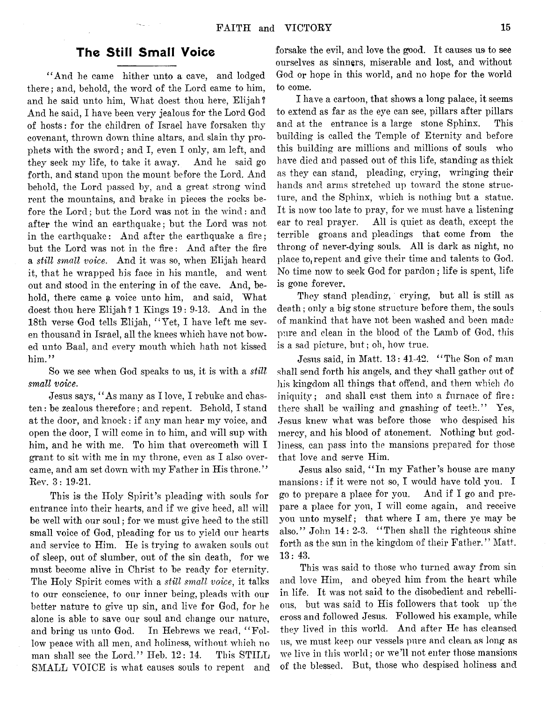# The Still Small Voice

 $\sim 10^{11}$ 

"And he came hither unto a cave, and lodged there; and, behold, the word of the Lord came to him, and he said unto him, What doest thou here, Elijah? And he said, I have been very jealous for the Lord God of hosts: for the children of Israel have forsaken thy covenant, thrown down thine altars, and slain thy prophets with the sword*;* and I, even I only, am left, and they seek my life, to take it away. And he said go forth, and stand upon the mount before the Lord. And behold, the Lord passed by, and a great strong wind rent the mountains, and brake in pieces the rocks before the Lord; but the Lord was not in the wind: and after the wind an earthquake; but the Lord was not in the earthquake: And after the earthquake a fire; but the Lord was not in the fire: And after the fire a *still small voice.* And it was so, when Elijah heard it, that he wrapped his face in his mantle, and went out and stood in the entering in of the cave. And, behold, there came a voice unto him, and said, What doest thou here Elijah? 1 Kings 19: 9-13. And in the 18th verse God tells Elijah, " Yet, I have left me seven thousand in Israel, all the knees which have not bowed unto Baal, and every mouth which hath not kissed him."

So we see when God speaks to us, it is with a *still small voice*.

Jesus says, " As many as I love, I rebuke and chasten : be zealous therefore; and repent. Behold, I stand at the door, and knock: if any man hear my voice, and open the door, I will come in to him, and will sup with him, and he with me. To him that overcometh will I grant to sit with me in my throne, even as I also overcame, and am set down with my Father in His throne." Rev. 3: 19-21.

This is the Holy Spirit's pleading with souls for entrance into their hearts, and if we give heed, all will be well with our soul; for we must give heed to the still small voice of God, pleading for us to yield our hearts and service to Him. He is trying to awaken souls out of sleep, out of slumber, out of the sin death, for we must become alive in Christ to be ready for eternity. The Holy Spirit comes with a *still small voice*, it talks to out conscience, to our inner being, pleads with our better nature to give up sin, and live for God, for he alone is able to save our soul and change our nature, and bring us unto God. In Hebrews we read, "Follow peace with all men, and holiness, without which no man shall see the Lord." Heb. 12: 14. This STILL SMALL VOICE is what causes souls to repent and

forsake the evil, and love the good. It causes us to see ourselves as sinners, miserable and lost, and without God or hope in this world, and no hope for the world to come.

I have a cartoon, that shows a long palace, it seems to extend as far as the eye can see, pillars after pillars and at the entrance is a large stone Sphinx. This building is called the Temple of Eternity and before this building are millions and millions of souls who have died and passed out of this life, standing as thick as they can stand, pleading, crying, wringing their hands and arms stretched up toward the stone structure, and the Sphinx, which is nothing but a statue. It is now too late to pray, for we must have a listening ear to real prayer. All is quiet as death, except the terrible groans and pleadings that come from the throng of never-dying souls. All is dark as night, no place to, repent and give their time and talents to God. No time now to seek God for pardon; life is spent, life is gone forever.

They stand pleading, crying, but all is still as death ; only a big stone structure before them, the souls of mankind that have not been washed and been made pure and clean in the blood of the Lamb of God, this is a sad picture, but; oh, how true.

Jesus said, in Matt. 13: 41-42. " The Son of man shall send forth his angels, and they shall gather out of his kingdom all things that offend, and them which do iniquity; and shall cast them into a furnace of fire: there shall be wailing and gnashing of teeth." Yes, Jesus knew what was before those who despised his mercy, and his blood of atonement. Nothing but godliness, can pass into the mansions prepared for those that love and serve Him.

Jesus also said, " In my Father's house are many mansions: if it were not so, I would have told you. I go to prepare a place for you. And if I go and prepare a place for you, I will come again, and receive you unto myself; that where I am, there ye may be also." John 14: 2-3. " Then shall the righteous shine forth as the sun in the kingdom of their Father." Matt. 13: 43.

This was said to those who turned away from sin and love Him, and obeyed him from the heart while in life. It was not said to the disobedient and rebellious, but was said to His followers that took up the cross and followed Jesus. Followed his example, while they lived in this world. And after He has cleansed us, we must keep our vessels pure and clean as long as we live in this world; or we'll not enter those mansions of the blessed. But, those who despised holiness and